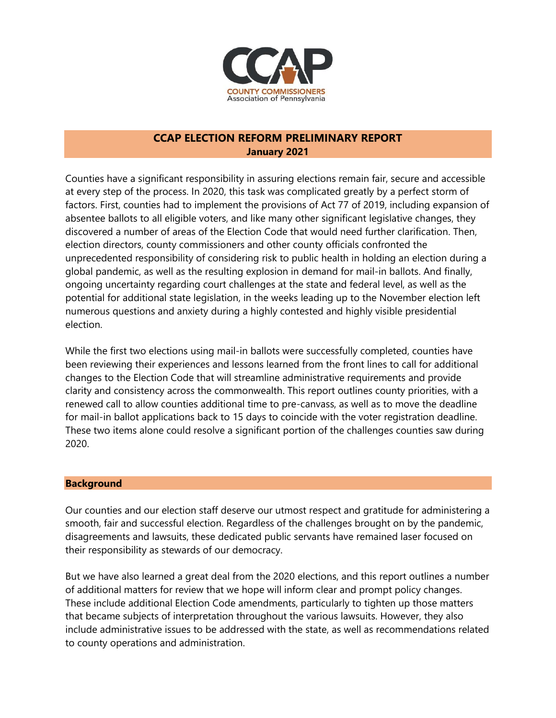

# **CCAP ELECTION REFORM PRELIMINARY REPORT January 2021**

Counties have a significant responsibility in assuring elections remain fair, secure and accessible at every step of the process. In 2020, this task was complicated greatly by a perfect storm of factors. First, counties had to implement the provisions of Act 77 of 2019, including expansion of absentee ballots to all eligible voters, and like many other significant legislative changes, they discovered a number of areas of the Election Code that would need further clarification. Then, election directors, county commissioners and other county officials confronted the unprecedented responsibility of considering risk to public health in holding an election during a global pandemic, as well as the resulting explosion in demand for mail-in ballots. And finally, ongoing uncertainty regarding court challenges at the state and federal level, as well as the potential for additional state legislation, in the weeks leading up to the November election left numerous questions and anxiety during a highly contested and highly visible presidential election.

While the first two elections using mail-in ballots were successfully completed, counties have been reviewing their experiences and lessons learned from the front lines to call for additional changes to the Election Code that will streamline administrative requirements and provide clarity and consistency across the commonwealth. This report outlines county priorities, with a renewed call to allow counties additional time to pre-canvass, as well as to move the deadline for mail-in ballot applications back to 15 days to coincide with the voter registration deadline. These two items alone could resolve a significant portion of the challenges counties saw during 2020.

### **Background**

Our counties and our election staff deserve our utmost respect and gratitude for administering a smooth, fair and successful election. Regardless of the challenges brought on by the pandemic, disagreements and lawsuits, these dedicated public servants have remained laser focused on their responsibility as stewards of our democracy.

But we have also learned a great deal from the 2020 elections, and this report outlines a number of additional matters for review that we hope will inform clear and prompt policy changes. These include additional Election Code amendments, particularly to tighten up those matters that became subjects of interpretation throughout the various lawsuits. However, they also include administrative issues to be addressed with the state, as well as recommendations related to county operations and administration.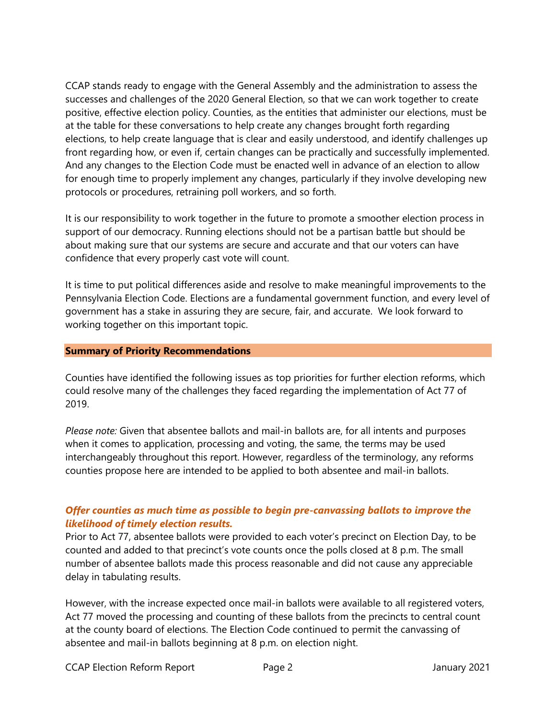CCAP stands ready to engage with the General Assembly and the administration to assess the successes and challenges of the 2020 General Election, so that we can work together to create positive, effective election policy. Counties, as the entities that administer our elections, must be at the table for these conversations to help create any changes brought forth regarding elections, to help create language that is clear and easily understood, and identify challenges up front regarding how, or even if, certain changes can be practically and successfully implemented. And any changes to the Election Code must be enacted well in advance of an election to allow for enough time to properly implement any changes, particularly if they involve developing new protocols or procedures, retraining poll workers, and so forth.

It is our responsibility to work together in the future to promote a smoother election process in support of our democracy. Running elections should not be a partisan battle but should be about making sure that our systems are secure and accurate and that our voters can have confidence that every properly cast vote will count.

It is time to put political differences aside and resolve to make meaningful improvements to the Pennsylvania Election Code. Elections are a fundamental government function, and every level of government has a stake in assuring they are secure, fair, and accurate. We look forward to working together on this important topic.

### **Summary of Priority Recommendations**

Counties have identified the following issues as top priorities for further election reforms, which could resolve many of the challenges they faced regarding the implementation of Act 77 of 2019.

*Please note:* Given that absentee ballots and mail-in ballots are, for all intents and purposes when it comes to application, processing and voting, the same, the terms may be used interchangeably throughout this report. However, regardless of the terminology, any reforms counties propose here are intended to be applied to both absentee and mail-in ballots.

# *Offer counties as much time as possible to begin pre-canvassing ballots to improve the likelihood of timely election results.*

Prior to Act 77, absentee ballots were provided to each voter's precinct on Election Day, to be counted and added to that precinct's vote counts once the polls closed at 8 p.m. The small number of absentee ballots made this process reasonable and did not cause any appreciable delay in tabulating results.

However, with the increase expected once mail-in ballots were available to all registered voters, Act 77 moved the processing and counting of these ballots from the precincts to central count at the county board of elections. The Election Code continued to permit the canvassing of absentee and mail-in ballots beginning at 8 p.m. on election night.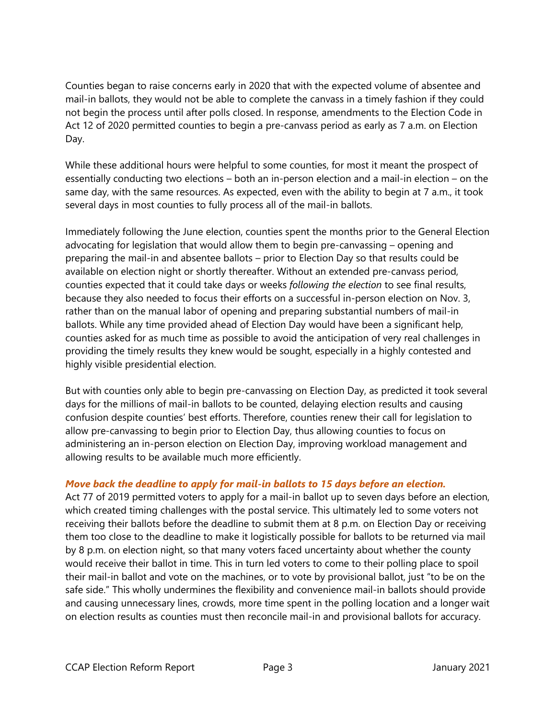Counties began to raise concerns early in 2020 that with the expected volume of absentee and mail-in ballots, they would not be able to complete the canvass in a timely fashion if they could not begin the process until after polls closed. In response, amendments to the Election Code in Act 12 of 2020 permitted counties to begin a pre-canvass period as early as 7 a.m. on Election Day.

While these additional hours were helpful to some counties, for most it meant the prospect of essentially conducting two elections – both an in-person election and a mail-in election – on the same day, with the same resources. As expected, even with the ability to begin at 7 a.m., it took several days in most counties to fully process all of the mail-in ballots.

Immediately following the June election, counties spent the months prior to the General Election advocating for legislation that would allow them to begin pre-canvassing – opening and preparing the mail-in and absentee ballots – prior to Election Day so that results could be available on election night or shortly thereafter. Without an extended pre-canvass period, counties expected that it could take days or weeks *following the election* to see final results, because they also needed to focus their efforts on a successful in-person election on Nov. 3, rather than on the manual labor of opening and preparing substantial numbers of mail-in ballots. While any time provided ahead of Election Day would have been a significant help, counties asked for as much time as possible to avoid the anticipation of very real challenges in providing the timely results they knew would be sought, especially in a highly contested and highly visible presidential election.

But with counties only able to begin pre-canvassing on Election Day, as predicted it took several days for the millions of mail-in ballots to be counted, delaying election results and causing confusion despite counties' best efforts. Therefore, counties renew their call for legislation to allow pre-canvassing to begin prior to Election Day, thus allowing counties to focus on administering an in-person election on Election Day, improving workload management and allowing results to be available much more efficiently.

# *Move back the deadline to apply for mail-in ballots to 15 days before an election.*

Act 77 of 2019 permitted voters to apply for a mail-in ballot up to seven days before an election, which created timing challenges with the postal service. This ultimately led to some voters not receiving their ballots before the deadline to submit them at 8 p.m. on Election Day or receiving them too close to the deadline to make it logistically possible for ballots to be returned via mail by 8 p.m. on election night, so that many voters faced uncertainty about whether the county would receive their ballot in time. This in turn led voters to come to their polling place to spoil their mail-in ballot and vote on the machines, or to vote by provisional ballot, just "to be on the safe side." This wholly undermines the flexibility and convenience mail-in ballots should provide and causing unnecessary lines, crowds, more time spent in the polling location and a longer wait on election results as counties must then reconcile mail-in and provisional ballots for accuracy.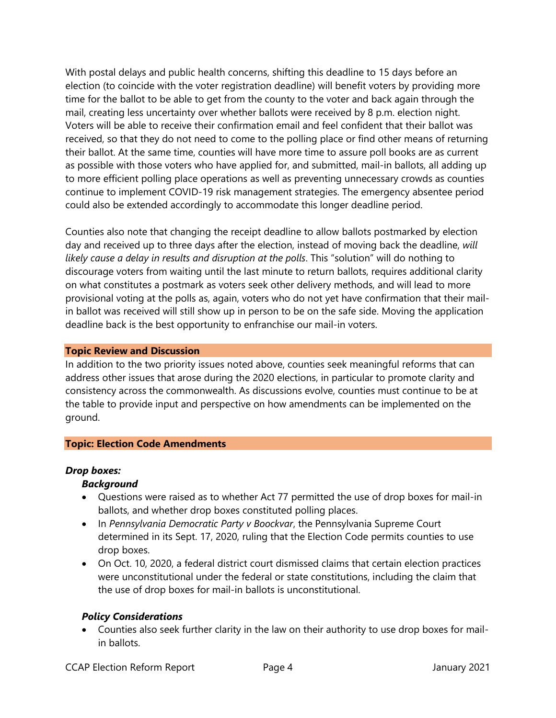With postal delays and public health concerns, shifting this deadline to 15 days before an election (to coincide with the voter registration deadline) will benefit voters by providing more time for the ballot to be able to get from the county to the voter and back again through the mail, creating less uncertainty over whether ballots were received by 8 p.m. election night. Voters will be able to receive their confirmation email and feel confident that their ballot was received, so that they do not need to come to the polling place or find other means of returning their ballot. At the same time, counties will have more time to assure poll books are as current as possible with those voters who have applied for, and submitted, mail-in ballots, all adding up to more efficient polling place operations as well as preventing unnecessary crowds as counties continue to implement COVID-19 risk management strategies. The emergency absentee period could also be extended accordingly to accommodate this longer deadline period.

Counties also note that changing the receipt deadline to allow ballots postmarked by election day and received up to three days after the election, instead of moving back the deadline, *will likely cause a delay in results and disruption at the polls*. This "solution" will do nothing to discourage voters from waiting until the last minute to return ballots, requires additional clarity on what constitutes a postmark as voters seek other delivery methods, and will lead to more provisional voting at the polls as, again, voters who do not yet have confirmation that their mailin ballot was received will still show up in person to be on the safe side. Moving the application deadline back is the best opportunity to enfranchise our mail-in voters.

### **Topic Review and Discussion**

In addition to the two priority issues noted above, counties seek meaningful reforms that can address other issues that arose during the 2020 elections, in particular to promote clarity and consistency across the commonwealth. As discussions evolve, counties must continue to be at the table to provide input and perspective on how amendments can be implemented on the ground.

## **Topic: Election Code Amendments**

## *Drop boxes:*

## *Background*

- Questions were raised as to whether Act 77 permitted the use of drop boxes for mail-in ballots, and whether drop boxes constituted polling places.
- In *Pennsylvania Democratic Party v Boockvar*, the Pennsylvania Supreme Court determined in its Sept. 17, 2020, ruling that the Election Code permits counties to use drop boxes.
- On Oct. 10, 2020, a federal district court dismissed claims that certain election practices were unconstitutional under the federal or state constitutions, including the claim that the use of drop boxes for mail-in ballots is unconstitutional.

## *Policy Considerations*

• Counties also seek further clarity in the law on their authority to use drop boxes for mailin ballots.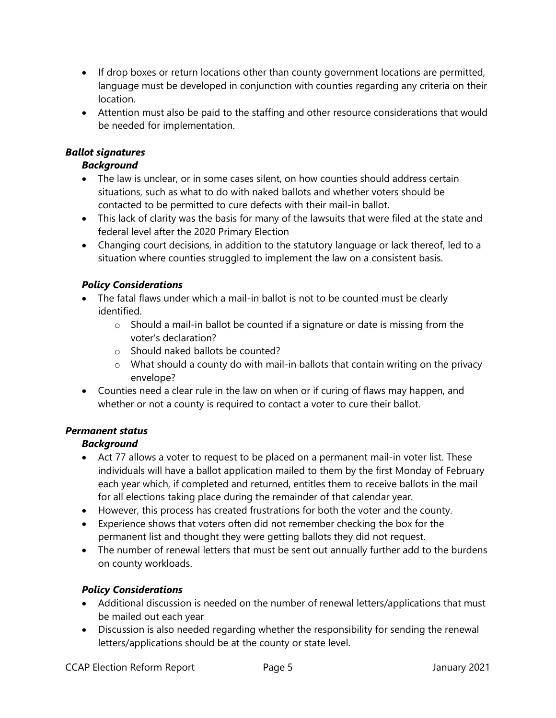- If drop boxes or return locations other than county government locations are permitted, language must be developed in conjunction with counties regarding any criteria on their location.
- Attention must also be paid to the staffing and other resource considerations that would be needed for implementation.

# *Ballot signatures*

# *Background*

- The law is unclear, or in some cases silent, on how counties should address certain situations, such as what to do with naked ballots and whether voters should be contacted to be permitted to cure defects with their mail-in ballot.
- This lack of clarity was the basis for many of the lawsuits that were filed at the state and federal level after the 2020 Primary Election
- Changing court decisions, in addition to the statutory language or lack thereof, led to a situation where counties struggled to implement the law on a consistent basis.

# *Policy Considerations*

- The fatal flaws under which a mail-in ballot is not to be counted must be clearly identified.
	- o Should a mail-in ballot be counted if a signature or date is missing from the voter's declaration?
	- o Should naked ballots be counted?
	- o What should a county do with mail-in ballots that contain writing on the privacy envelope?
- Counties need a clear rule in the law on when or if curing of flaws may happen, and whether or not a county is required to contact a voter to cure their ballot.

# *Permanent status*

# *Background*

- Act 77 allows a voter to request to be placed on a permanent mail-in voter list. These individuals will have a ballot application mailed to them by the first Monday of February each year which, if completed and returned, entitles them to receive ballots in the mail for all elections taking place during the remainder of that calendar year.
- However, this process has created frustrations for both the voter and the county.
- Experience shows that voters often did not remember checking the box for the permanent list and thought they were getting ballots they did not request.
- The number of renewal letters that must be sent out annually further add to the burdens on county workloads.

# *Policy Considerations*

- Additional discussion is needed on the number of renewal letters/applications that must be mailed out each year
- Discussion is also needed regarding whether the responsibility for sending the renewal letters/applications should be at the county or state level.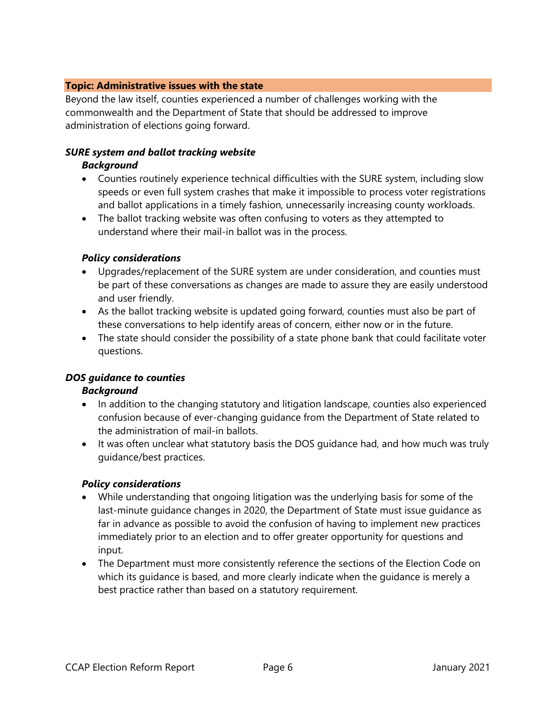### **Topic: Administrative issues with the state**

Beyond the law itself, counties experienced a number of challenges working with the commonwealth and the Department of State that should be addressed to improve administration of elections going forward.

# *SURE system and ballot tracking website*

### *Background*

- Counties routinely experience technical difficulties with the SURE system, including slow speeds or even full system crashes that make it impossible to process voter registrations and ballot applications in a timely fashion, unnecessarily increasing county workloads.
- The ballot tracking website was often confusing to voters as they attempted to understand where their mail-in ballot was in the process.

### *Policy considerations*

- Upgrades/replacement of the SURE system are under consideration, and counties must be part of these conversations as changes are made to assure they are easily understood and user friendly.
- As the ballot tracking website is updated going forward, counties must also be part of these conversations to help identify areas of concern, either now or in the future.
- The state should consider the possibility of a state phone bank that could facilitate voter questions.

## *DOS guidance to counties*

## *Background*

- In addition to the changing statutory and litigation landscape, counties also experienced confusion because of ever-changing guidance from the Department of State related to the administration of mail-in ballots.
- It was often unclear what statutory basis the DOS guidance had, and how much was truly guidance/best practices.

## *Policy considerations*

- While understanding that ongoing litigation was the underlying basis for some of the last-minute guidance changes in 2020, the Department of State must issue guidance as far in advance as possible to avoid the confusion of having to implement new practices immediately prior to an election and to offer greater opportunity for questions and input.
- The Department must more consistently reference the sections of the Election Code on which its guidance is based, and more clearly indicate when the guidance is merely a best practice rather than based on a statutory requirement.